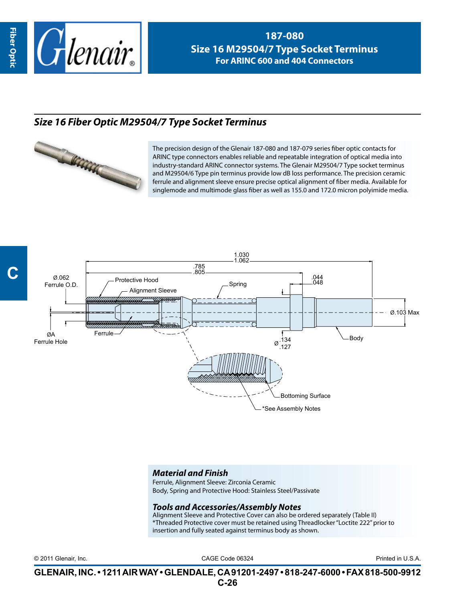

**187-080 Size 16 M29504/7 Type Socket Terminus For ARINC 600 and 404 Connectors**

## *Size 16 Fiber Optic M29504/7 Type Socket Terminus*



The precision design of the Glenair 187-080 and 187-079 series fiber optic contacts for ARINC type connectors enables reliable and repeatable integration of optical media into industry-standard ARINC connector systems. The Glenair M29504/7 Type socket terminus and M29504/6 Type pin terminus provide low dB loss performance. The precision ceramic ferrule and alignment sleeve ensure precise optical alignment of fiber media. Available for singlemode and multimode glass fiber as well as 155.0 and 172.0 micron polyimide media.



## *Material and Finish*

Ferrule, Alignment Sleeve: Zirconia Ceramic Body, Spring and Protective Hood: Stainless Steel/Passivate

## *Tools and Accessories/Assembly Notes*

Alignment Sleeve and Protective Cover can also be ordered separately (Table II) \*Threaded Protective cover must be retained using Threadlocker "Loctite 222" prior to insertion and fully seated against terminus body as shown.

CAGE Code 06324 © 2011 Glenair, Inc. Printed in U.S.A.